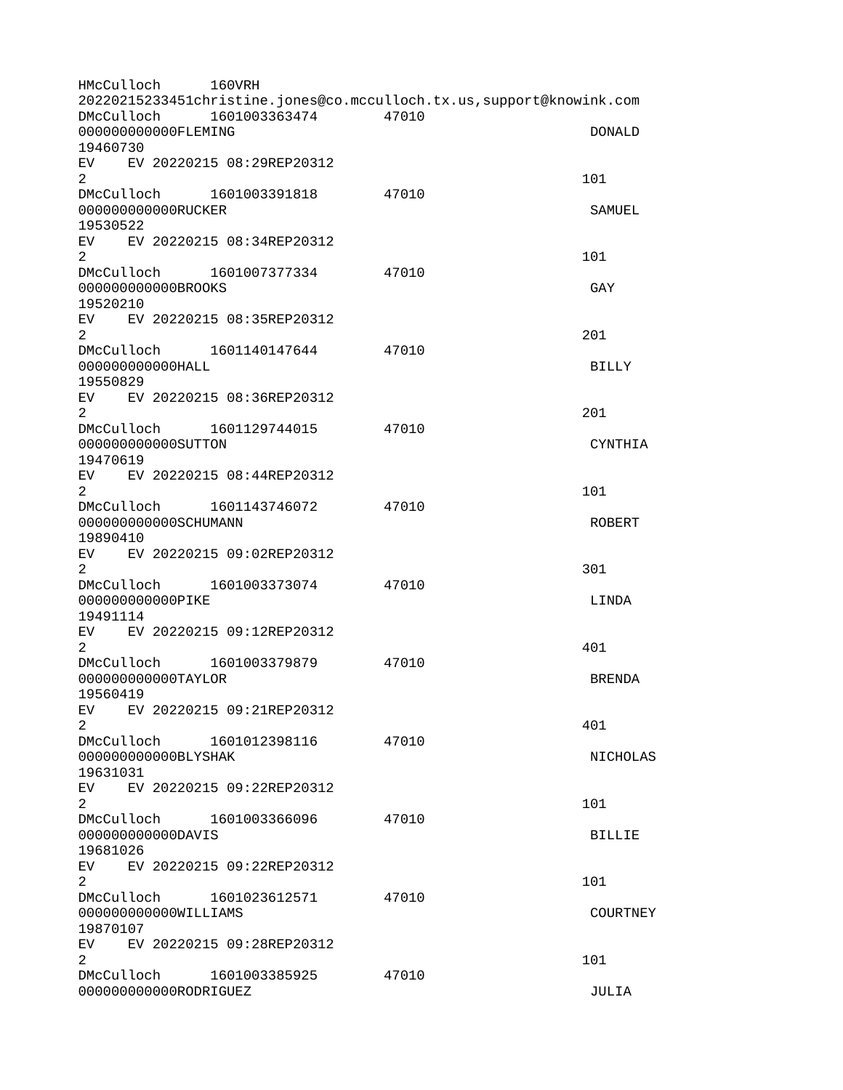| HMcCulloch           |  | 160VRH                       |                                                                      |                 |
|----------------------|--|------------------------------|----------------------------------------------------------------------|-----------------|
|                      |  |                              | 20220215233451christine.jones@co.mcculloch.tx.us,support@knowink.com |                 |
| DMcCulloch           |  | 1601003363474                | 47010                                                                |                 |
| 00000000000FLEMING   |  |                              |                                                                      | <b>DONALD</b>   |
| 19460730             |  | EV EV 20220215 08:29REP20312 |                                                                      |                 |
| $\overline{2}$       |  |                              |                                                                      | 101             |
| DMcCulloch           |  | 1601003391818                | 47010                                                                |                 |
| 000000000000RUCKER   |  |                              |                                                                      | SAMUEL          |
| 19530522             |  |                              |                                                                      |                 |
|                      |  | EV EV 20220215 08:34REP20312 |                                                                      |                 |
| $\overline{2}$       |  |                              |                                                                      | 101             |
|                      |  | DMcCulloch 1601007377334     | 47010                                                                |                 |
| 000000000000BR00KS   |  |                              |                                                                      | GAY             |
| 19520210             |  |                              |                                                                      |                 |
| EV                   |  | EV 20220215 08:35REP20312    |                                                                      |                 |
| 2                    |  |                              |                                                                      | 201             |
|                      |  | DMcCulloch 1601140147644     | 47010                                                                |                 |
| 00000000000HALL      |  |                              |                                                                      | <b>BILLY</b>    |
| 19550829             |  |                              |                                                                      |                 |
| $\overline{2}$       |  | EV EV 20220215 08:36REP20312 |                                                                      | 201             |
| DMcCulloch           |  | 1601129744015                | 47010                                                                |                 |
| 000000000000SUTTON   |  |                              |                                                                      | <b>CYNTHIA</b>  |
| 19470619             |  |                              |                                                                      |                 |
|                      |  | EV EV 20220215 08:44REP20312 |                                                                      |                 |
| $\overline{2}$       |  |                              |                                                                      | 101             |
|                      |  | DMcCulloch 1601143746072     | 47010                                                                |                 |
| 000000000000SCHUMANN |  |                              |                                                                      | <b>ROBERT</b>   |
| 19890410             |  |                              |                                                                      |                 |
|                      |  | EV EV 20220215 09:02REP20312 |                                                                      |                 |
| $\overline{2}$       |  |                              |                                                                      | 301             |
| DMcCulloch           |  | 1601003373074                | 47010                                                                |                 |
| 00000000000PIKE      |  |                              |                                                                      | LINDA           |
| 19491114<br>EV       |  | EV 20220215 09:12REP20312    |                                                                      |                 |
| $\overline{2}$       |  |                              |                                                                      | 401             |
| DMcCulloch           |  | 1601003379879                | 47010                                                                |                 |
| 000000000000TAYLOR   |  |                              |                                                                      | <b>BRENDA</b>   |
| 19560419             |  |                              |                                                                      |                 |
|                      |  | EV EV 20220215 09:21REP20312 |                                                                      |                 |
| 2 <sup>1</sup>       |  |                              |                                                                      | 401             |
| DMcCulloch           |  | 1601012398116                | 47010                                                                |                 |
| 000000000000BLYSHAK  |  |                              |                                                                      | <b>NICHOLAS</b> |
| 19631031             |  |                              |                                                                      |                 |
| EV                   |  | EV 20220215 09:22REP20312    |                                                                      |                 |
| $\overline{2}$       |  |                              |                                                                      | 101             |
| 00000000000DAVIS     |  | DMcCulloch 1601003366096     | 47010                                                                | <b>BILLIE</b>   |
| 19681026             |  |                              |                                                                      |                 |
|                      |  | EV EV 20220215 09:22REP20312 |                                                                      |                 |
| $\overline{2}$       |  |                              |                                                                      | 101             |
|                      |  |                              | 47010                                                                |                 |
| 000000000000WILLIAMS |  |                              |                                                                      | <b>COURTNEY</b> |
| 19870107             |  |                              |                                                                      |                 |
|                      |  | EV EV 20220215 09:28REP20312 |                                                                      |                 |
| $\overline{2}$       |  |                              |                                                                      | 101             |
|                      |  | DMcCulloch 1601003385925     | 47010                                                                |                 |
| 00000000000R0DRIGUEZ |  |                              |                                                                      | JULIA           |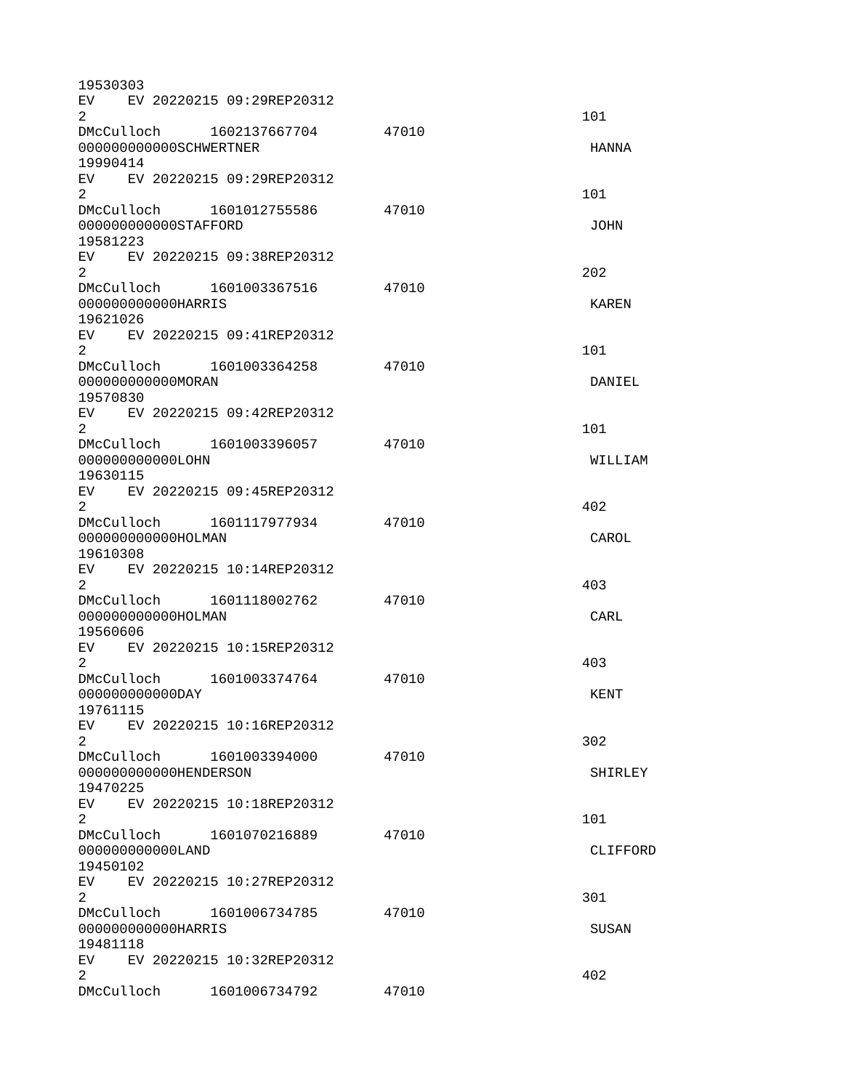| 19530303           |                                  |       |                |
|--------------------|----------------------------------|-------|----------------|
|                    | EV EV 20220215 09:29REP20312     |       |                |
| $\overline{2}$     |                                  |       | 101            |
|                    | DMcCulloch 1602137667704         | 47010 |                |
|                    | 000000000000SCHWERTNER           |       | <b>HANNA</b>   |
| 19990414           | EV EV 20220215 09:29REP20312     |       |                |
| $\overline{2}$     |                                  |       | 101            |
|                    | DMcCulloch 1601012755586         | 47010 |                |
|                    | 000000000000STAFF0RD             |       | <b>JOHN</b>    |
| 19581223           |                                  |       |                |
|                    | EV EV 20220215 09:38REP20312     |       |                |
| $\overline{2}$     |                                  |       | 202            |
|                    | DMcCulloch 1601003367516         | 47010 |                |
| 000000000000HARRIS |                                  |       | KAREN          |
| 19621026           |                                  |       |                |
|                    | EV EV 20220215 09:41REP20312     |       |                |
| 2                  |                                  |       | 101            |
|                    | DMcCulloch 1601003364258         | 47010 |                |
| 00000000000MORAN   |                                  |       | DANIEL         |
| 19570830           |                                  |       |                |
|                    | EV EV 20220215 09:42REP20312     |       |                |
| $\overline{2}$     |                                  |       | 101            |
|                    | DMcCulloch 1601003396057         | 47010 |                |
| 000000000000L0HN   |                                  |       | WILLIAM        |
| 19630115           |                                  |       |                |
|                    | EV EV 20220215 09:45REP20312     |       |                |
| $\overline{2}$     |                                  |       | 402            |
| 000000000000HOLMAN |                                  | 47010 | CAROL          |
| 19610308           |                                  |       |                |
|                    | EV EV 20220215 10:14REP20312     |       |                |
| $\overline{2}$     |                                  |       | 403            |
|                    | DMcCulloch  1601118002762  47010 |       |                |
| 000000000000HOLMAN |                                  |       | CARL           |
| 19560606           |                                  |       |                |
| EV                 | EV 20220215 10:15REP20312        |       |                |
| 2                  |                                  |       | 403            |
|                    | DMcCulloch 1601003374764         | 47010 |                |
| 00000000000DAY     |                                  |       | <b>KENT</b>    |
| 19761115           |                                  |       |                |
| EV                 | EV 20220215 10:16REP20312        |       |                |
| $2^{\circ}$        |                                  |       | 302            |
|                    | DMcCulloch 1601003394000         | 47010 |                |
|                    | 000000000000HENDERSON            |       | <b>SHIRLEY</b> |
| 19470225           |                                  |       |                |
|                    | EV EV 20220215 10:18REP20312     |       |                |
| $\overline{2}$     |                                  |       | 101            |
|                    | DMcCulloch 1601070216889         | 47010 |                |
| 000000000000LAND   |                                  |       | CLIFFORD       |
| 19450102           | EV EV 20220215 10:27REP20312     |       |                |
| $\overline{2}$     |                                  |       | 301            |
|                    | DMcCulloch 1601006734785         | 47010 |                |
| 000000000000HARRIS |                                  |       | <b>SUSAN</b>   |
| 19481118           |                                  |       |                |
|                    | EV EV 20220215 10:32REP20312     |       |                |
| $\overline{2}$     |                                  |       | 402            |
| DMcCulloch         | 1601006734792                    | 47010 |                |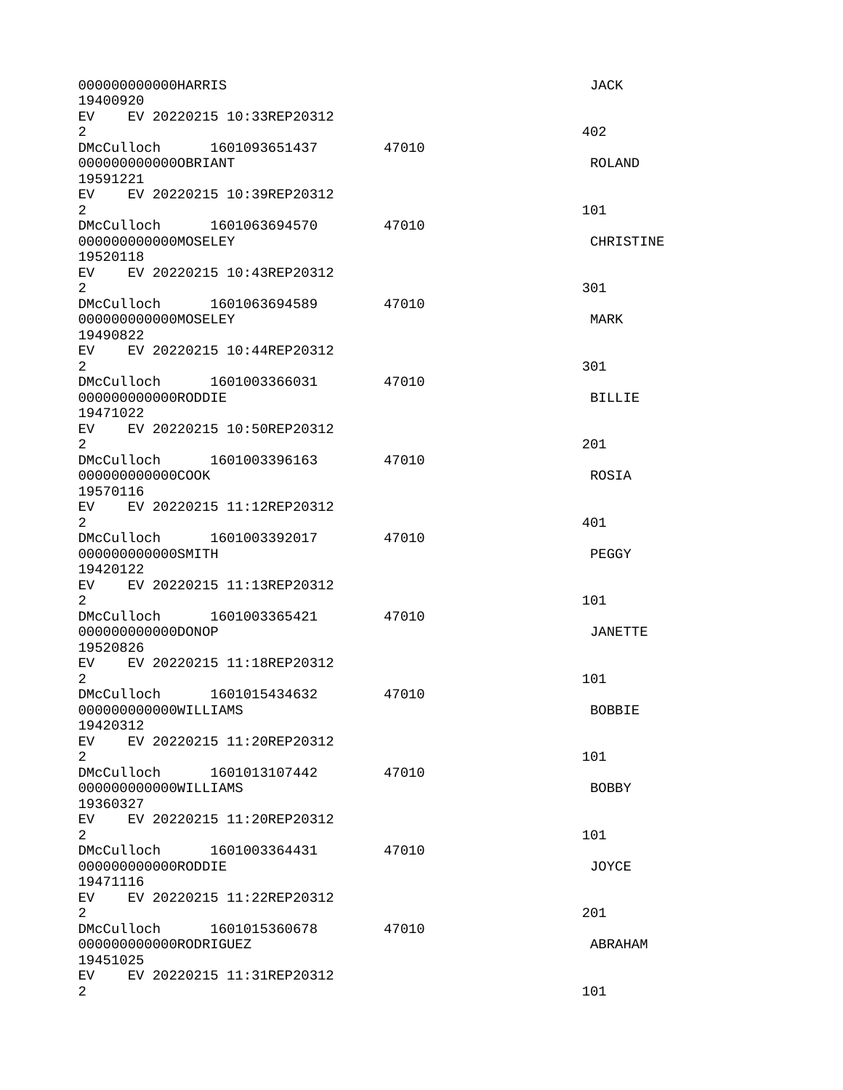| 000000000000HARRIS<br>19400920                                           | <b>JACK</b>    |
|--------------------------------------------------------------------------|----------------|
| EV EV 20220215 10:33REP20312<br>$\overline{2}$                           | 402            |
| 47010<br>0000000000000BRIANT<br>19591221                                 | <b>ROLAND</b>  |
| EV EV 20220215 10:39REP20312<br>$\overline{2}$                           | 101            |
| DMcCulloch 1601063694570<br>47010<br>00000000000M0SELEY<br>19520118      | CHRISTINE      |
| EV EV 20220215 10:43REP20312<br>$\overline{2}$                           | 301            |
| DMcCulloch 1601063694589<br>47010<br>000000000000M0SELEY<br>19490822     | MARK           |
| EV EV 20220215 10:44REP20312<br>$\overline{2}$                           | 301            |
| DMcCulloch 1601003366031<br>47010<br>00000000000RODDIE<br>19471022       | <b>BILLIE</b>  |
| EV EV 20220215 10:50REP20312<br>$\overline{2}$                           | 201            |
| DMcCulloch 1601003396163<br>47010<br>000000000000C00K<br>19570116        | <b>ROSIA</b>   |
| EV EV 20220215 11:12REP20312<br>$\overline{2}$                           | 401            |
| DMcCulloch 1601003392017<br>47010<br>00000000000SMITH<br>19420122        | PEGGY          |
| EV EV 20220215 11:13REP20312<br>$\overline{2}$                           | 101            |
| 47010<br>000000000000000P<br>19520826                                    | <b>JANETTE</b> |
| EV.<br>EV 20220215 11:18REP20312<br>$\overline{2}$                       | 101            |
| DMcCulloch 1601015434632<br>47010<br>000000000000WILLIAMS<br>19420312    | <b>BOBBIE</b>  |
| EV EV 20220215 11:20REP20312<br>$\overline{2}$                           | 101            |
| DMcCulloch<br>47010<br>1601013107442<br>000000000000WILLIAMS<br>19360327 | <b>BOBBY</b>   |
| EV<br>EV 20220215 11:20REP20312<br>$\overline{2}$                        | 101            |
| DMcCulloch 1601003364431<br>47010<br>000000000000RODDIE<br>19471116      | J0YCE          |
| EV EV 20220215 11:22REP20312<br>$\overline{2}$                           | 201            |
| DMcCulloch 1601015360678<br>47010<br>000000000000R0DRIGUEZ<br>19451025   | ABRAHAM        |
| EV EV 20220215 11:31REP20312<br>$\overline{2}$                           | 101            |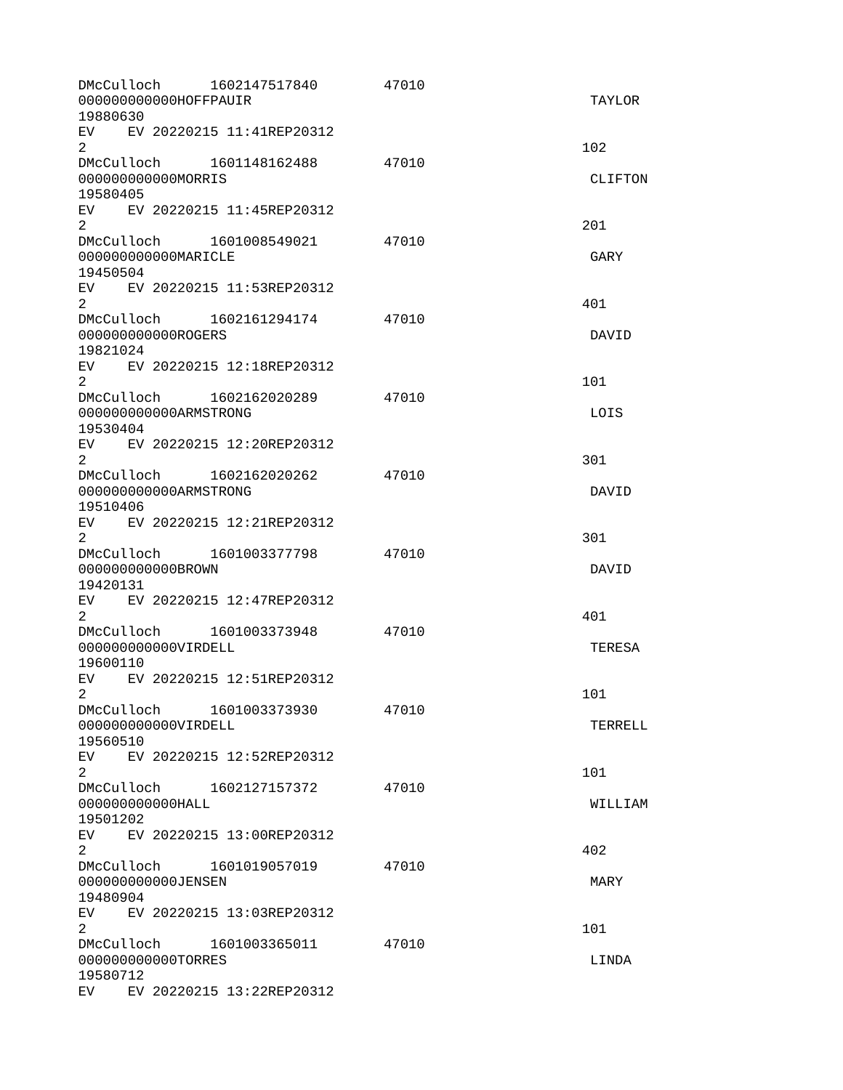| DMcCulloch<br>000000000000H0FFPAUIR<br>19880630               | 1602147517840                | 47010 | <b>TAYLOR</b>  |
|---------------------------------------------------------------|------------------------------|-------|----------------|
| $\overline{2}$                                                | EV EV 20220215 11:41REP20312 |       | 102            |
| DMcCulloch 1601148162488<br>000000000000MORRIS<br>19580405    |                              | 47010 | <b>CLIFTON</b> |
| $\overline{2}$                                                | EV EV 20220215 11:45REP20312 |       | 201            |
| 00000000000MARICLE<br>19450504                                | DMcCulloch 1601008549021     | 47010 | GARY           |
| $2^{\circ}$                                                   | EV EV 20220215 11:53REP20312 |       | 401            |
| 00000000000R0GERS<br>19821024                                 |                              | 47010 | DAVID          |
| EV.<br>$\overline{2}$                                         | EV 20220215 12:18REP20312    |       | 101            |
| DMcCulloch 1602162020289<br>000000000000ARMSTRONG<br>19530404 |                              | 47010 | LOIS           |
| $\overline{2}$                                                | EV EV 20220215 12:20REP20312 |       | 301            |
| 000000000000ARMSTRONG<br>19510406                             | DMcCulloch 1602162020262     | 47010 | DAVID          |
| $\overline{2}$                                                | EV EV 20220215 12:21REP20312 |       | 301            |
| 000000000000BR0WN<br>19420131                                 | DMcCulloch 1601003377798     | 47010 | DAVID          |
| $\overline{2}$                                                | EV EV 20220215 12:47REP20312 |       | 401            |
| DMcCulloch 1601003373948<br>000000000000VIRDELL<br>19600110   |                              | 47010 | <b>TERESA</b>  |
| EV<br>$2^{\circ}$                                             | EV 20220215 12:51REP20312    |       | 101            |
| DMcCulloch<br>000000000000VIRDELL<br>19560510                 | 1601003373930                | 47010 | <b>TERRELL</b> |
| 2                                                             | EV EV 20220215 12:52REP20312 |       | 101            |
| 00000000000HALL<br>19501202                                   |                              | 47010 | WILLIAM        |
| $\overline{2}$                                                | EV EV 20220215 13:00REP20312 |       | 402            |
| DMcCulloch<br>000000000000JENSEN<br>19480904                  | 1601019057019                | 47010 | MARY           |
| 2                                                             | EV EV 20220215 13:03REP20312 |       | 101            |
| 000000000000T0RRES<br>19580712                                | DMcCulloch 1601003365011     | 47010 | LINDA          |
|                                                               | EV EV 20220215 13:22REP20312 |       |                |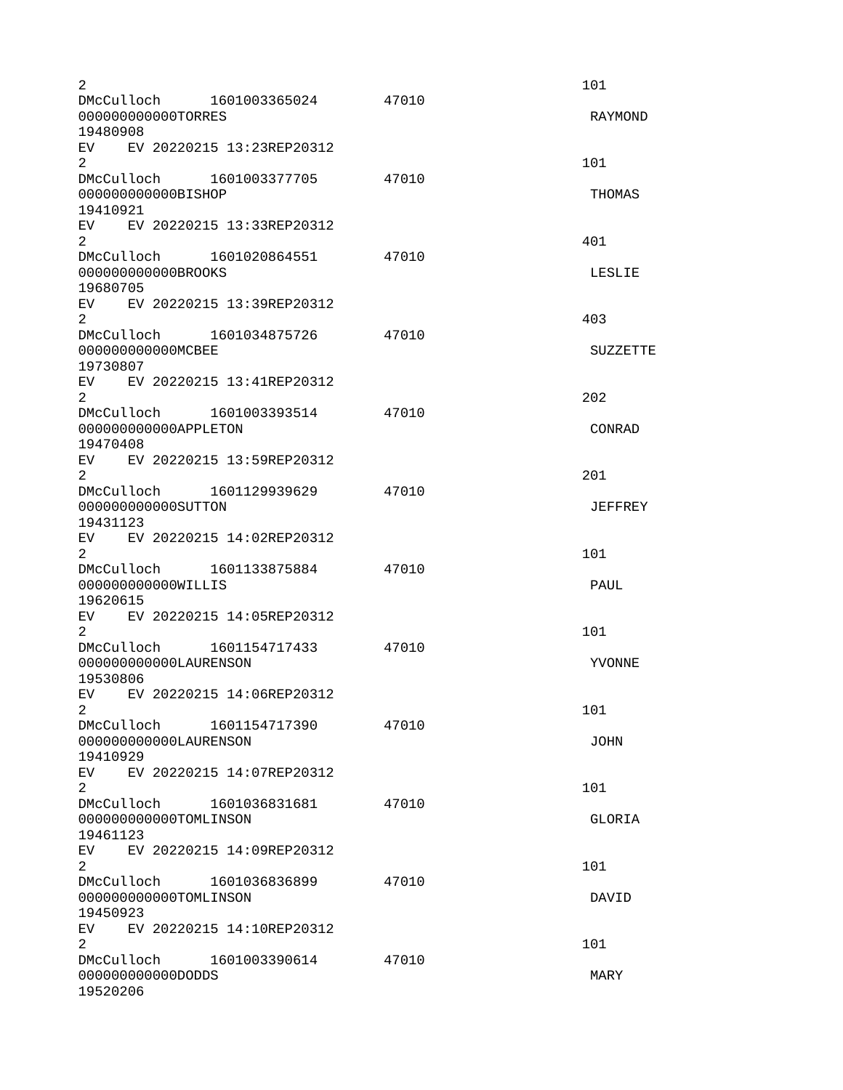| $\overline{2}$<br>DMcCulloch 1601003365024                                 |                                | 47010 | 101             |
|----------------------------------------------------------------------------|--------------------------------|-------|-----------------|
| 000000000000T0RRES<br>19480908                                             |                                |       | RAYMOND         |
| EV EV 20220215 13:23REP20312<br>$\overline{2}$<br>DMcCulloch 1601003377705 |                                | 47010 | 101             |
| 000000000000BISHOP<br>19410921                                             |                                |       | <b>THOMAS</b>   |
| EV EV 20220215 13:33REP20312<br>$2^{\circ}$                                |                                |       | 401             |
| 00000000000BR00KS<br>19680705                                              | DMcCulloch 1601020864551       | 47010 | <b>LESLIE</b>   |
| EV EV 20220215 13:39REP20312<br>2                                          |                                |       | 403             |
| 00000000000MCBEE                                                           | DMcCulloch 1601034875726 47010 |       | <b>SUZZETTE</b> |
| 19730807<br>EV EV 20220215 13:41REP20312<br>$\overline{2}$                 |                                |       | 202             |
| DMcCulloch 1601003393514<br>000000000000APPLET0N<br>19470408               |                                | 47010 | CONRAD          |
| EV EV 20220215 13:59REP20312<br>2                                          |                                |       | 201             |
| 000000000000SUTT0N<br>19431123                                             | DMcCulloch 1601129939629       | 47010 | <b>JEFFREY</b>  |
| EV EV 20220215 14:02REP20312<br>$\overline{2}$                             |                                |       | 101             |
| DMcCulloch 1601133875884<br>000000000000WILLIS<br>19620615                 |                                | 47010 | <b>PAUL</b>     |
| EV EV 20220215 14:05REP20312<br>2                                          |                                |       | 101             |
| DMcCulloch 1601154717433<br>000000000000LAURENSON<br>19530806              |                                | 47010 | <b>YVONNE</b>   |
| EV EV 20220215 14:06REP20312<br>2                                          |                                |       | 101             |
| DMcCulloch<br>000000000000LAURENSON<br>19410929                            | 1601154717390                  | 47010 | <b>JOHN</b>     |
| EV.<br>$\overline{2}$                                                      | EV 20220215 14:07REP20312      |       | 101             |
| 000000000000T0MLINSON<br>19461123                                          | DMcCulloch 1601036831681       | 47010 | GLORIA          |
| EV EV 20220215 14:09REP20312<br>$\overline{2}$                             |                                |       | 101             |
| DMcCulloch 1601036836899<br>000000000000T0MLINSON<br>19450923              |                                | 47010 | <b>DAVID</b>    |
| EV <sub>2</sub><br>$\overline{2}$                                          | EV 20220215 14:10REP20312      |       | 101             |
| DMcCulloch 1601003390614<br>0000000000000DDS<br>19520206                   |                                | 47010 | <b>MARY</b>     |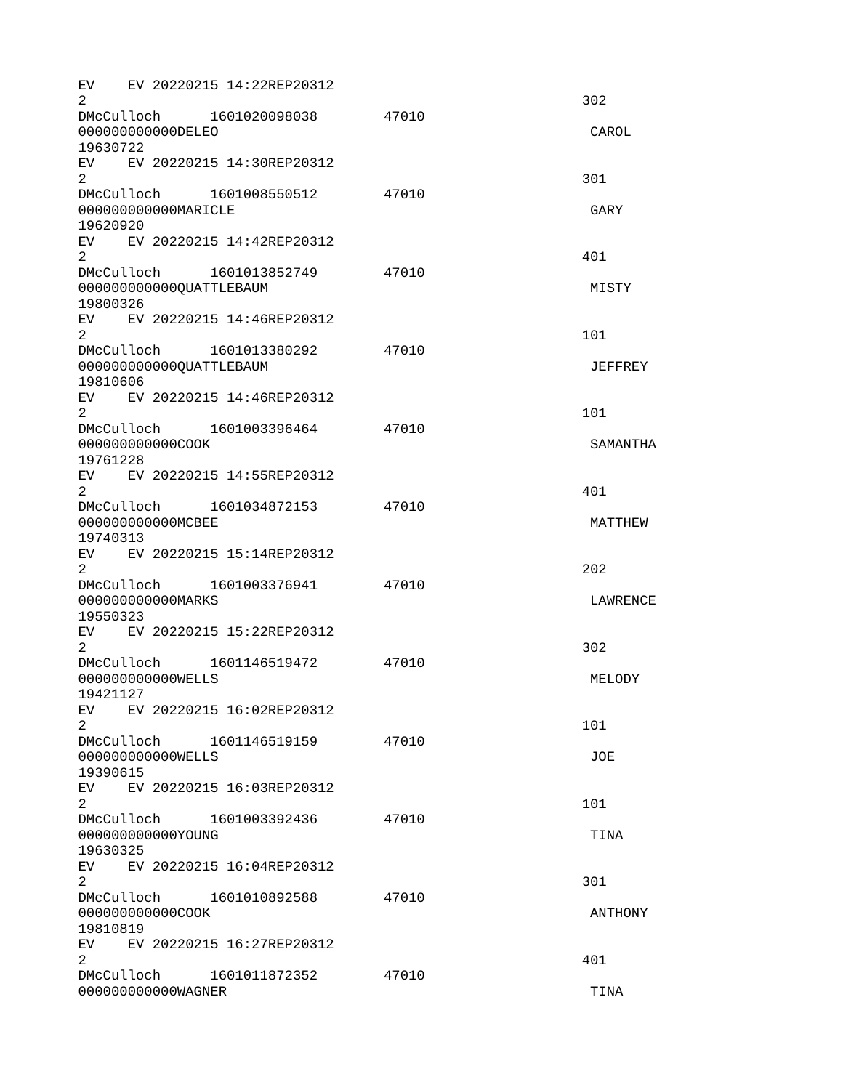EV EV 20220215 14:22REP20312  $2\overline{)}$ DMcCulloch 1601020098038 47010 000000000000DELEO CAROL 19630722 EV EV 20220215 14:30REP20312  $2\,$ DMcCulloch 1601008550512 47010 000000000000MARICLE GARY 19620920 EV EV 20220215 14:42REP20312  $2^{401}$ DMcCulloch 1601013852749 47010 00000000000000QUATTLEBAUM **MISTY** 19800326 EV EV 20220215 14:46REP20312  $2 \t 101$ DMcCulloch 1601013380292 47010 000000000000QUATTLEBAUM JEFFREY 19810606 EV EV 20220215 14:46REP20312  $2 \t 101$ DMcCulloch 1601003396464 47010 000000000000COOK SAMANTHA 19761228 EV EV 20220215 14:55REP20312  $2 \times 401$ DMcCulloch 1601034872153 47010 0000000000000MCBEE MATTHEW 19740313 EV EV 20220215 15:14REP20312  $2^2$ DMcCulloch 1601003376941 47010 000000000000MARKS LAWRENCE 19550323 EV EV 20220215 15:22REP20312  $2 \times 302$ DMcCulloch 1601146519472 47010 000000000000WELLS MELODY 19421127 EV EV 20220215 16:02REP20312  $2 \t 101$ DMcCulloch 1601146519159 47010 000000000000WELLS JOE 19390615 EV EV 20220215 16:03REP20312  $2 \t 101$ DMcCulloch 1601003392436 47010 000000000000YOUNG TINA 19630325 EV EV 20220215 16:04REP20312  $2\,$ DMcCulloch 1601010892588 47010 000000000000COOK ANTHONY 19810819 EV EV 20220215 16:27REP20312  $2 \times 401$ DMcCulloch 1601011872352 47010 000000000000WAGNER TINA